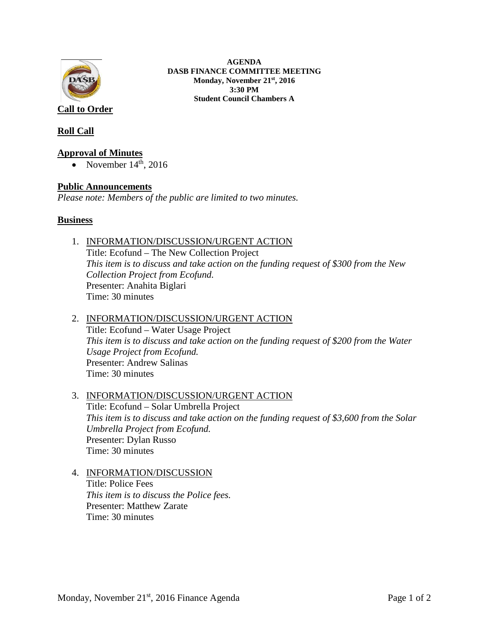

**AGENDA DASB FINANCE COMMITTEE MEETING Monday, November 21st, 2016 3:30 PM Student Council Chambers A**

**Roll Call**

### **Approval of Minutes**

• November  $14<sup>th</sup>$ , 2016

## **Public Announcements**

*Please note: Members of the public are limited to two minutes.* 

### **Business**

1. INFORMATION/DISCUSSION/URGENT ACTION

Title: Ecofund – The New Collection Project *This item is to discuss and take action on the funding request of \$300 from the New Collection Project from Ecofund.* Presenter: Anahita Biglari Time: 30 minutes

### 2. INFORMATION/DISCUSSION/URGENT ACTION Title: Ecofund – Water Usage Project *This item is to discuss and take action on the funding request of \$200 from the Water Usage Project from Ecofund.* Presenter: Andrew Salinas Time: 30 minutes

### 3. INFORMATION/DISCUSSION/URGENT ACTION

Title: Ecofund – Solar Umbrella Project *This item is to discuss and take action on the funding request of \$3,600 from the Solar Umbrella Project from Ecofund.* Presenter: Dylan Russo Time: 30 minutes

### 4. INFORMATION/DISCUSSION

Title: Police Fees *This item is to discuss the Police fees.* Presenter: Matthew Zarate Time: 30 minutes